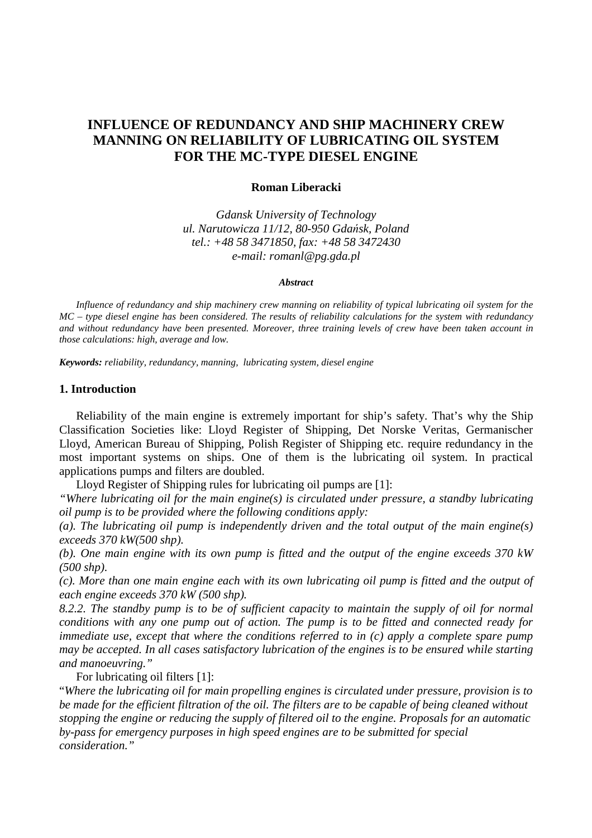# **INFLUENCE OF REDUNDANCY AND SHIP MACHINERY CREW MANNING ON RELIABILITY OF LUBRICATING OIL SYSTEM FOR THE MC-TYPE DIESEL ENGINE**

#### **Roman Liberacki**

*Gdansk University of Technology ul. Narutowicza 11/12, 80-950 Gda*ń*sk, Poland tel.: +48 58 3471850, fax: +48 58 3472430 e-mail: romanl@pg.gda.pl* 

#### *Abstract*

 *Influence of redundancy and ship machinery crew manning on reliability of typical lubricating oil system for the MC – type diesel engine has been considered. The results of reliability calculations for the system with redundancy and without redundancy have been presented. Moreover, three training levels of crew have been taken account in those calculations: high, average and low.* 

*Keywords: reliability, redundancy, manning, lubricating system, diesel engine* 

### **1. Introduction**

Reliability of the main engine is extremely important for ship's safety. That's why the Ship Classification Societies like: Lloyd Register of Shipping, Det Norske Veritas, Germanischer Lloyd, American Bureau of Shipping, Polish Register of Shipping etc. require redundancy in the most important systems on ships. One of them is the lubricating oil system. In practical applications pumps and filters are doubled.

Lloyd Register of Shipping rules for lubricating oil pumps are [1]:

*"Where lubricating oil for the main engine(s) is circulated under pressure, a standby lubricating oil pump is to be provided where the following conditions apply:* 

*(a). The lubricating oil pump is independently driven and the total output of the main engine(s) exceeds 370 kW(500 shp).* 

*(b). One main engine with its own pump is fitted and the output of the engine exceeds 370 kW (500 shp).* 

*(c). More than one main engine each with its own lubricating oil pump is fitted and the output of each engine exceeds 370 kW (500 shp).* 

*8.2.2. The standby pump is to be of sufficient capacity to maintain the supply of oil for normal conditions with any one pump out of action. The pump is to be fitted and connected ready for immediate use, except that where the conditions referred to in (c) apply a complete spare pump may be accepted. In all cases satisfactory lubrication of the engines is to be ensured while starting and manoeuvring."* 

For lubricating oil filters [1]:

"*Where the lubricating oil for main propelling engines is circulated under pressure, provision is to be made for the efficient filtration of the oil. The filters are to be capable of being cleaned without stopping the engine or reducing the supply of filtered oil to the engine. Proposals for an automatic by-pass for emergency purposes in high speed engines are to be submitted for special consideration."*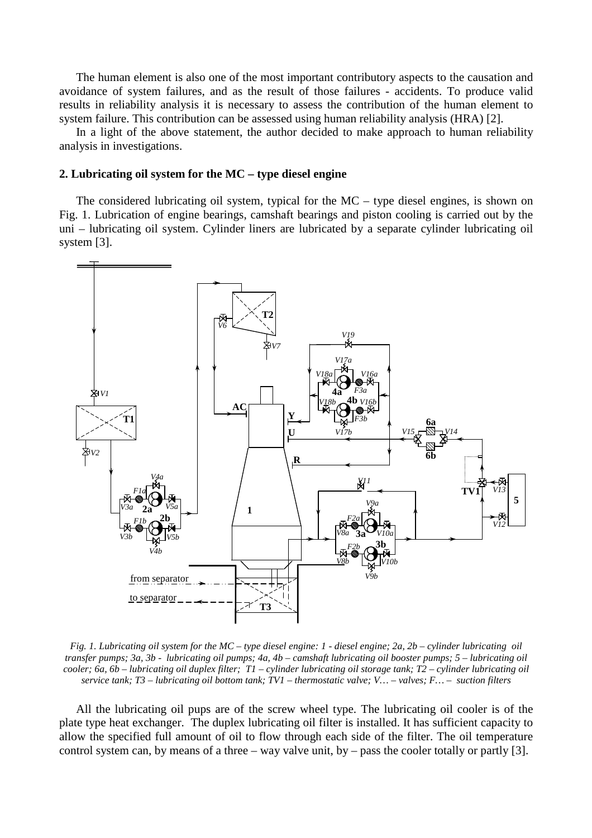The human element is also one of the most important contributory aspects to the causation and avoidance of system failures, and as the result of those failures - accidents. To produce valid results in reliability analysis it is necessary to assess the contribution of the human element to system failure. This contribution can be assessed using human reliability analysis (HRA) [2].

In a light of the above statement, the author decided to make approach to human reliability analysis in investigations.

#### **2. Lubricating oil system for the MC – type diesel engine**

The considered lubricating oil system, typical for the  $MC -$  type diesel engines, is shown on Fig. 1. Lubrication of engine bearings, camshaft bearings and piston cooling is carried out by the uni – lubricating oil system. Cylinder liners are lubricated by a separate cylinder lubricating oil system [3].



*Fig. 1. Lubricating oil system for the MC – type diesel engine: 1 - diesel engine; 2a, 2b – cylinder lubricating oil transfer pumps; 3a, 3b - lubricating oil pumps; 4a, 4b – camshaft lubricating oil booster pumps; 5 – lubricating oil cooler; 6a, 6b – lubricating oil duplex filter; T1 – cylinder lubricating oil storage tank; T2 – cylinder lubricating oil service tank; T3 – lubricating oil bottom tank; TV1 – thermostatic valve; V… – valves; F… – suction filters*

All the lubricating oil pups are of the screw wheel type. The lubricating oil cooler is of the plate type heat exchanger. The duplex lubricating oil filter is installed. It has sufficient capacity to allow the specified full amount of oil to flow through each side of the filter. The oil temperature control system can, by means of a three – way valve unit, by – pass the cooler totally or partly [3].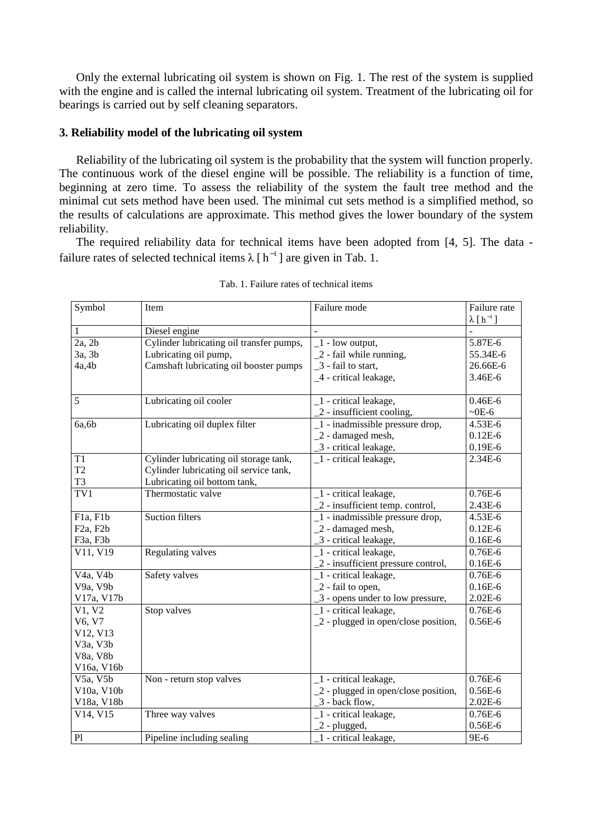Only the external lubricating oil system is shown on Fig. 1. The rest of the system is supplied with the engine and is called the internal lubricating oil system. Treatment of the lubricating oil for bearings is carried out by self cleaning separators.

# **3. Reliability model of the lubricating oil system**

Reliability of the lubricating oil system is the probability that the system will function properly. The continuous work of the diesel engine will be possible. The reliability is a function of time, beginning at zero time. To assess the reliability of the system the fault tree method and the minimal cut sets method have been used. The minimal cut sets method is a simplified method, so the results of calculations are approximate. This method gives the lower boundary of the system reliability.

The required reliability data for technical items have been adopted from [4, 5]. The data failure rates of selected technical items  $\lambda$  [h<sup>-1</sup>] are given in Tab. 1.

| Symbol                             | Item                                     | Failure mode                                 | Failure rate       |
|------------------------------------|------------------------------------------|----------------------------------------------|--------------------|
|                                    |                                          |                                              | $\lambda [h^{-1}]$ |
| $\mathbf{1}$                       | Diesel engine                            |                                              |                    |
| 2a, 2b                             | Cylinder lubricating oil transfer pumps, | $-1$ - low output,                           | 5.87E-6            |
| 3a, 3b                             | Lubricating oil pump,                    | 2 - fail while running,                      | 55.34E-6           |
| 4a,4b                              | Camshaft lubricating oil booster pumps   | _3 - fail to start,                          | 26.66E-6           |
|                                    |                                          | _4 - critical leakage,                       | 3.46E-6            |
|                                    |                                          |                                              |                    |
| 5                                  | Lubricating oil cooler                   | _1 - critical leakage,                       | $0.46E - 6$        |
|                                    |                                          | 2 - insufficient cooling,                    | $-0E-6$            |
| 6a, 6b                             | Lubricating oil duplex filter            | $1$ - inadmissible pressure drop,            | $4.53E-6$          |
|                                    |                                          | $2$ - damaged mesh,                          | $0.12E-6$          |
|                                    |                                          | _3 - critical leakage,                       | $0.19E-6$          |
| T1                                 | Cylinder lubricating oil storage tank,   | $\_1$ - critical leakage,                    | 2.34E-6            |
| T <sub>2</sub>                     | Cylinder lubricating oil service tank,   |                                              |                    |
| T <sub>3</sub>                     | Lubricating oil bottom tank,             |                                              |                    |
| $\overline{\text{TV1}}$            | Thermostatic valve                       | _1 - critical leakage,                       | $0.76E-6$          |
|                                    |                                          | 2 - insufficient temp. control,              | 2.43E-6            |
| F1a, F1b                           | <b>Suction filters</b>                   | $\boxed{1}$ - inadmissible pressure drop,    | 4.53E-6            |
| F <sub>2a</sub> , F <sub>2b</sub>  |                                          | $2$ - damaged mesh,                          | $0.12E-6$          |
| F <sub>3a</sub> , F <sub>3b</sub>  |                                          | 3 - critical leakage,                        | $0.16E-6$          |
| $\overline{V11, V19}$              | Regulating valves                        | _1 - critical leakage,                       | $0.76E-6$          |
|                                    |                                          | 2 - insufficient pressure control,           | $0.16E-6$          |
| V <sub>4</sub> a, V <sub>4</sub> b | Safety valves                            | _1 - critical leakage,                       | $0.76E - 6$        |
| V9a, V9b                           |                                          | 2 - fail to open,                            | $0.16E-6$          |
| V17a, V17b                         |                                          | 2 - opens under to low pressure,             | $2.02E - 6$        |
| V1, V2                             | Stop valves                              | $\overline{\phantom{a}}$ - critical leakage, | $0.76E-6$          |
| V6, V7                             |                                          | $\angle$ 2 - plugged in open/close position, | $0.56E-6$          |
| V12, V13                           |                                          |                                              |                    |
| V3a, V3b                           |                                          |                                              |                    |
| V8a, V8b                           |                                          |                                              |                    |
| V16a, V16b                         |                                          |                                              |                    |
| V5a, V5b                           | Non - return stop valves                 | _1 - critical leakage,                       | $0.76E-6$          |
| V10a, V10b                         |                                          | 2 - plugged in open/close position,          | $0.56E-6$          |
| V18a, V18b                         |                                          | 3 - back flow,                               | $2.02E - 6$        |
| V14, V15                           | Three way valves                         | 1 - critical leakage,                        | $0.76E-6$          |
|                                    |                                          | $2$ - plugged,                               | $0.56E - 6$        |
| P1                                 | Pipeline including sealing               | 1 - critical leakage,                        | 9E-6               |

Tab. 1. Failure rates of technical items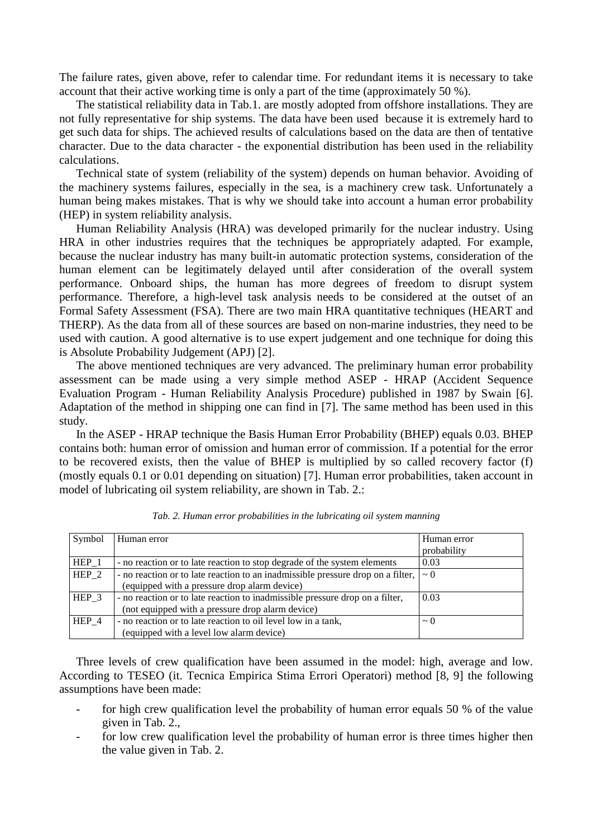The failure rates, given above, refer to calendar time. For redundant items it is necessary to take account that their active working time is only a part of the time (approximately 50 %).

The statistical reliability data in Tab.1. are mostly adopted from offshore installations. They are not fully representative for ship systems. The data have been used because it is extremely hard to get such data for ships. The achieved results of calculations based on the data are then of tentative character. Due to the data character - the exponential distribution has been used in the reliability calculations.

Technical state of system (reliability of the system) depends on human behavior. Avoiding of the machinery systems failures, especially in the sea, is a machinery crew task. Unfortunately a human being makes mistakes. That is why we should take into account a human error probability (HEP) in system reliability analysis.

Human Reliability Analysis (HRA) was developed primarily for the nuclear industry. Using HRA in other industries requires that the techniques be appropriately adapted. For example, because the nuclear industry has many built-in automatic protection systems, consideration of the human element can be legitimately delayed until after consideration of the overall system performance. Onboard ships, the human has more degrees of freedom to disrupt system performance. Therefore, a high-level task analysis needs to be considered at the outset of an Formal Safety Assessment (FSA). There are two main HRA quantitative techniques (HEART and THERP). As the data from all of these sources are based on non-marine industries, they need to be used with caution. A good alternative is to use expert judgement and one technique for doing this is Absolute Probability Judgement (APJ) [2].

The above mentioned techniques are very advanced. The preliminary human error probability assessment can be made using a very simple method ASEP - HRAP (Accident Sequence Evaluation Program - Human Reliability Analysis Procedure) published in 1987 by Swain [6]. Adaptation of the method in shipping one can find in [7]. The same method has been used in this study.

In the ASEP - HRAP technique the Basis Human Error Probability (BHEP) equals 0.03. BHEP contains both: human error of omission and human error of commission. If a potential for the error to be recovered exists, then the value of BHEP is multiplied by so called recovery factor (f) (mostly equals 0.1 or 0.01 depending on situation) [7]. Human error probabilities, taken account in model of lubricating oil system reliability, are shown in Tab. 2.:

| Symbol | Human error                                                                              | Human error |
|--------|------------------------------------------------------------------------------------------|-------------|
|        |                                                                                          | probability |
| HEP 1  | - no reaction or to late reaction to stop degrade of the system elements                 | 0.03        |
| HEP 2  | - no reaction or to late reaction to an inadmissible pressure drop on a filter, $\sim 0$ |             |
|        | (equipped with a pressure drop alarm device)                                             |             |
| HEP 3  | - no reaction or to late reaction to inadmissible pressure drop on a filter,             | 0.03        |
|        | (not equipped with a pressure drop alarm device)                                         |             |
| HEP 4  | - no reaction or to late reaction to oil level low in a tank,                            | $\sim$ 0    |
|        | (equipped with a level low alarm device)                                                 |             |

*Tab. 2. Human error probabilities in the lubricating oil system manning* 

Three levels of crew qualification have been assumed in the model: high, average and low. According to TESEO (it. Tecnica Empirica Stima Errori Operatori) method [8, 9] the following assumptions have been made:

- for high crew qualification level the probability of human error equals 50 % of the value given in Tab. 2.,
- for low crew qualification level the probability of human error is three times higher then the value given in Tab. 2.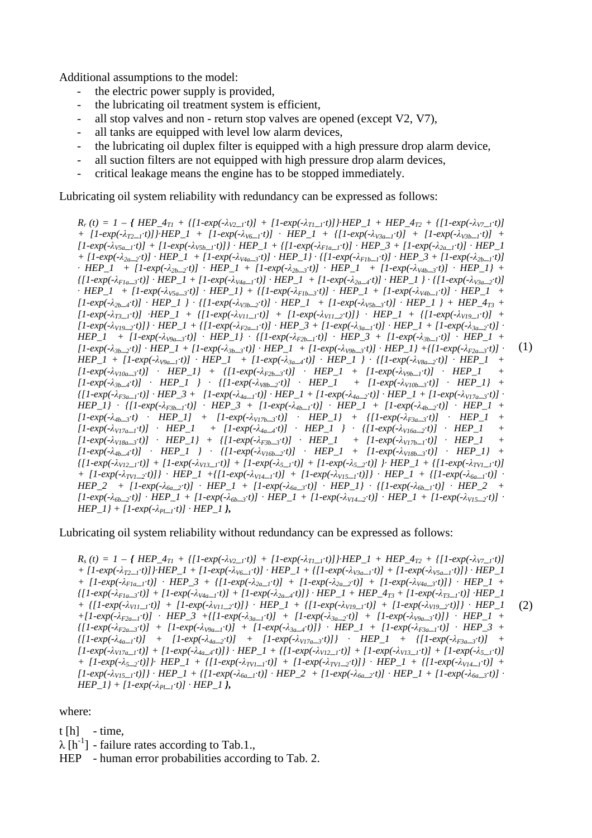Additional assumptions to the model:

- the electric power supply is provided,
- the lubricating oil treatment system is efficient,
- all stop valves and non return stop valves are opened (except V2, V7),
- all tanks are equipped with level low alarm devices,
- the lubricating oil duplex filter is equipped with a high pressure drop alarm device,
- all suction filters are not equipped with high pressure drop alarm devices,
- critical leakage means the engine has to be stopped immediately.

Lubricating oil system reliability with redundancy can be expressed as follows:

 $R_r(t) = 1 - \{ HEP_4_{T1} + \{ [1-exp(-\lambda_{V2-1}:t)] + [1-exp(-\lambda_{T1-1}:t)] \} \cdot HEP_1 + HEP_4_{T2} + \{ [1-exp(-\lambda_{V2-1}:t)] \} \cdot HEP_4$ +  $[1-exp(-\lambda_{T2} - t)]$  HEP\_1 +  $[1-exp(-\lambda_{V6} - t)]$  +  $HEP_1$  +  $\{[1-exp(-\lambda_{V3a} - t)]$  +  $[1-exp(-\lambda_{V3b} - t)]$  +  $[1-exp(-\lambda_{V5a-1}:t)] + [1-exp(-\lambda_{V5b-1}:t)] + HEP_1 + {[1-exp(-\lambda_{Fla-1}:t)] + HEP_3 + [1-exp(-\lambda_{2a-1}:t)] + HEP_1$ +  $[1-exp(-\lambda_{2a-2}:t)]$  ·  $HEP_1 + [1-exp(-\lambda_{V4a-3}:t)]$  ·  $HEP_1$  ·  $\{[1-exp(-\lambda_{F1b-1}:t)]$  ·  $HEP_3 + [1-exp(-\lambda_{2b-1}:t)]$  $\cdot$  *HEP\_1* + [1-exp(- $\lambda_{2b-2}$ ·*t*)]  $\cdot$  *HEP\_1* + [1-exp(- $\lambda_{2b-3}$ ·*t*)]  $\cdot$  *HEP\_1*] +  $[1-exp(-\lambda_{2b-3} \cdot t)]$   $\cdot$  *HEP\_1*} +  $\{[1-exp(-\lambda_{Flag_{i}}t)] \cdot HEP_{i} + [1-exp(-\lambda_{Va_{i-1}}t)] \cdot HEP_{i} + [1-exp(-\lambda_{2a_{i-4}}t)] \cdot HEP_{i} \} \cdot \{[1-exp(-\lambda_{Va_{i-2}}t)]$  $\cdot$  *HEP\_1* + [1-exp(- $\lambda_{V5a-3}$ ·*t*)]  $\cdot$  *HEP\_1*} + {[1-exp(- $\lambda_{F1b-3}$ ·*t*)]  $\cdot$  *HEP\_1* +  $[1$ -exp(- $\lambda_{V4b-1}$ ·*t*)]  $\cdot$  *HEP\_1* +  $[1-exp(-\lambda_{2b-4}:t)]$  ·  $HEP_1$  } ·  $\{[1-exp(-\lambda_{V3b-2}:t)]$  ·  $HEP_1 + [1-exp(-\lambda_{V5b-3}:t)]$  ·  $HEP_1$  } +  $HEP_4_{T3}$  +  $[1-exp(-\lambda_{T3-1}:t)]$   $HEP_1 + [1-exp(-\lambda_{V11-1}:t)] + [1-exp(-\lambda_{V11-2}:t)]$   $HEP_1 + [1-exp(-\lambda_{V19-1}:t)] +$  $[1-exp(-\lambda_{V19-2}:t)]$  +  $HEP_1 + \{[1-exp(-\lambda_{F2a-1}:t)]$  +  $HEP_3 + [1-exp(-\lambda_{3a-1}:t)]$  +  $HEP_1 + [1-exp(-\lambda_{3a-2}:t)]$  +  $HEP\_1$  +  $[1-exp(-\lambda_{V9a-3}t)]$  ·  $HEP\_1$  ·  $\{[1-exp(-\lambda_{F2b-1}t)]$  ·  $HEP\_3$  +  $[1-exp(-\lambda_{3b-1}t)]$  ·  $HEP\_1$  +  $[1-exp(-\lambda_{3h-2},t)]$   $HEP_1 + [1-exp(-\lambda_{3h-3},t)]$   $HEP_1 + [1-exp(-\lambda_{9h-3},t)]$   $HEP_1 + [1-exp(-\lambda_{72h-3},t)]$  $HEP\_I$  +  $[1-exp(-\lambda_{V9a\_I} \cdot t)]$  ·  $HEP\_I$  +  $[1-exp(-\lambda_{3a\_I} \cdot t)]$  ·  $HEP\_I$  } ·  $\{[1-exp(-\lambda_{V8a\_2} \cdot t)]$  ·  $HEP\_I$  +  $[I1-exp(-\lambda_{V10a\_3}:t)]$   $\cdot$   $HEP\_1$  +  $\{[1-exp(-\lambda_{F2b\_3}:t)]$   $\cdot$   $HEP\_1$  +  $[1-exp(-\lambda_{V9b\_1}:t)]$   $\cdot$   $HEP\_1$  +  $[I1-exp(-\lambda_{3b-4}t)]$   $\cdot$   $HEP\_1$   $\}$   $\cdot$   $\{[1-exp(-\lambda_{V8b-2}t)]$   $\cdot$   $HEP\_1$   $\}$   $\cdot$   $HEP\_1$   $\}$   $\cdot$  $\{[1-exp(-\lambda_{F3a-1}t)] \cdot HEP_3 + [1-exp(-\lambda_{4a-1}t)] \cdot HEP_1 + [1-exp(-\lambda_{4a-2}t)] \cdot HEP_1 + [1-exp(-\lambda_{V17a-3}t)] \cdot HEP_2 + [1-exp(-\lambda_{V17a-3}t)] \cdot HEP_2 + [1-exp(-\lambda_{V17a-3}t)] \cdot HEP_1 + [1-exp(-\lambda_{V17a-3}t)] \}$  $HEP\_1$ }  $\cdot$  {[1-exp(- $\lambda_{F3b\_1}$ ·*t*)]  $\cdot$   $HEP\_3$  + [1-exp(- $\lambda_{4b\_1}$ ·*t*)]  $\cdot$   $HEP\_1$  + [1-exp(- $\lambda_{4b\_2}$ ·*t*)]  $\cdot$   $HEP\_1$  +  $[I-exp(-\lambda_{4b-3}:t)$  ·  $HEP_{-1}]$  +  $[I-exp(-\lambda_{V17b-3}:t)]$  ·  $HEP_{-1}]$  +  $\{[1-exp(-\lambda_{F3a-3}:t)]$  ·  $HEP_{-1}$  +  $[I-exp(-\lambda_{V17a-1}\cdot t)]$  ·  $HEP\_1$  +  $[I-exp(-\lambda_{4a-4}\cdot t)]$  ·  $HEP\_1$  } ·  $\{[1-exp(-\lambda_{V16a-2}\cdot t)]$  ·  $HEP\_1$  +  $[I1-exp(-\lambda_{V18a\_3}:t)]$  ·  $HEP\_1$  +  $\{[1-exp(-\lambda_{F3b\_3}:t)]$  ·  $HEP\_1$  +  $[1-exp(-\lambda_{V17b\_1}:t)]$  ·  $HEP\_1$  + *[1-exp(-*λ*4b\_4*·*t)]* · *HEP\_1 }* · *{[1-exp(-*λ*V16b\_2*·*t)]* · *HEP\_1 + [1-exp(-*λ*V18b\_3*·*t)]* · *HEP\_1} +*   $\{[1-exp(\frac{-\lambda_{V12-1}t}{I}]+[1-exp(\frac{-\lambda_{V13-1}t}{I}]+[1-exp(\frac{-\lambda_{S-1}t}{I}]+[1-exp(\frac{-\lambda_{S-2}t}{I}]]+HEP_1+[1-exp(\frac{-\lambda_{V1-1}t}{I}]]$ +  $[1-exp(-\lambda_{IVI-2}:t)]$  ·  $HEP_1 + {[1-exp(-\lambda_{VI4-1}:t)] + [1-exp(-\lambda_{VI5-1}:t)]}$  ·  $HEP_1 + {[1-exp(-\lambda_{6a-1}:t)]$  ·  $HEP_2$  +  $[1-exp(-\lambda_{6a-2}t)]$   $\cdot$   $HEP_1$  +  $[1-exp(-\lambda_{6a-3}t)]$   $\cdot$   $HEP_1$ }  $\cdot$   $[1-exp(-\lambda_{6b-1}t)]$   $\cdot$   $HEP_2$  +  $[1 - exp(-\lambda_{6b-2}t)] \cdot HEP\_I + [1 - exp(-\lambda_{6b-3}t)] \cdot HEP\_I + [1 - exp(-\lambda_{V14-2}t)] \cdot HEP\_I + [1 - exp(-\lambda_{V15-2}t)] \cdot HEP\_I + [1 - exp(-\lambda_{V16-2}t)]$  $HEP\_1$  +  $[1-exp(-\lambda_{PL\_1} \cdot t)] \cdot HEP\_1$  }, (1)

Lubricating oil system reliability without redundancy can be expressed as follows:

 $R_s(t) = 1 - \{HEP_4_{T1} + \{[1-\exp(-\lambda_{V2-1}t)] + [1-\exp(-\lambda_{T1-1}t)]\} \cdot HEP_1 + HEP_4_{T2} + \{[1-\exp(-\lambda_{V2-1}t)]\} \cdot E$ + [1-exp(- $\lambda_{T2\_i}$ +t)]} HEP\_1 + [1-exp(- $\lambda_{V6\_i}$ +t)] · HEP\_1 + {[1-exp(- $\lambda_{V3a\_i}$ +t)] + [1-exp(- $\lambda_{V5a\_i}$ +t)]} · HEP\_1 +  $[1-exp(-\lambda_{F1a-1}:t)]$  ·  $HEP_3$  +  $\{[1-exp(-\lambda_{2a-1}:t)]$  +  $[1-exp(-\lambda_{2a-2}:t)]$  +  $[1-exp(-\lambda_{Va-3}:t)]\}$  ·  $HEP_1$  +  $\{[1-exp(-\lambda_{Flag-3}:t)] + [1-exp(-\lambda_{V4a-1}:t)] + [1-exp(-\lambda_{2a-4}:t)]\} \cdot HEP\_1 + HEP\_4_{T3} + [1-exp(-\lambda_{T3-1}:t)] \cdot HEP\_1$ +  $\{[1-exp(-\lambda_{VII-1}:t)] + [1-exp(-\lambda_{VII-2}:t)]\}$   $\cdot$  HEP<sub>-</sub>1 +  $\{[1-exp(-\lambda_{VI9-1}:t)] + [1-exp(-\lambda_{VI9-2}:t)]\}$   $\cdot$  HEP<sub>-</sub>1  $+[1-exp(-\lambda_{F2a-1}t)]$   $HEP_3 + [1-exp(-\lambda_{3a-1}t)] + [1-exp(-\lambda_{3a-2}t)] + [1-exp(-\lambda_{V9a-3}t)]$   $HEP_1 +$  $\{[1-exp(\lambda_{F2a-3}:t)] + [1-exp(\lambda_{V9a-1}:t)] + [1-exp(\lambda_{3a-4}:t)]\}$  · HEP<sub>-</sub>1 +  $[1-exp(\lambda_{F3a-1}:t)]$  · HEP<sub>-</sub>3 +  $\{[1-exp(\frac{-\lambda_{4a-1}t}{\lambda_{4a-1}t})] + [1-exp(\frac{-\lambda_{4a-2}t}{\lambda_{4a-2}t})] + [1-exp(\frac{-\lambda_{V17a-3}t}{\lambda_{V17a-3}t})] \}$  +  $HEP_1 + \{[1-exp(\frac{-\lambda_{F3a-3}t}{\lambda_{F3a-3}t})] +$  $\left[1-\exp(-\lambda_{V17a_{-1}}t)\right] + \left[1-\exp(-\lambda_{4a_{-4}}t)\right] + HEP_1 + \left[1-\exp(-\lambda_{V12-1}t)\right] + \left[1-\exp(-\lambda_{V13-1}t)\right] + \left[1-\exp(-\lambda_{5-1}t)\right]$ + [1-exp(- $\lambda_5$  >t)]}. HEP 1 + {[1-exp(- $\lambda_{TVl}$  |t)] + [1-exp(- $\lambda_{TVl}$  >t)]}. HEP 1 + {[1-exp(- $\lambda_{Vl4}$  |t)] +  $[1-exp(-\lambda_{VIS\_l}t)]$  +  $HEP\_1 + {[1-exp(-\lambda_{6a\_l}t)] \cdot HEP\_2 + [1-exp(-\lambda_{6a\_2}t)] \cdot HEP\_1 + [1-exp(-\lambda_{6a\_3}t)] \cdot HEP\_1 + [1-exp(-\lambda_{6a\_3}t)]$ *HEP*  $1$ *} + [1-exp(-* $\lambda_{PL}$ *<sub>1</sub><sup>t</sup>)] · HEP* 1*}*, (2)

where:

 $t[h]$  - time,

 $\lambda$  [h<sup>-1</sup>] - failure rates according to Tab.1.,

HEP - human error probabilities according to Tab. 2.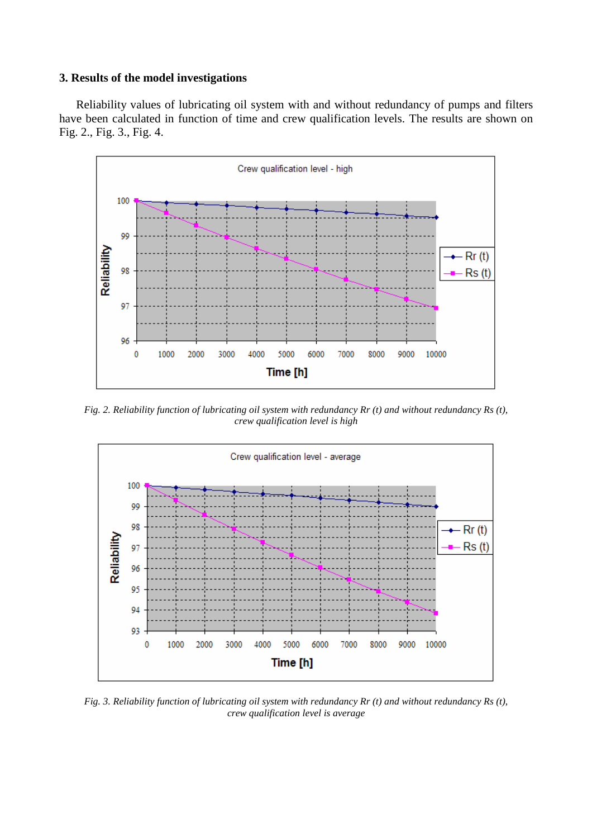# **3. Results of the model investigations**

Reliability values of lubricating oil system with and without redundancy of pumps and filters have been calculated in function of time and crew qualification levels. The results are shown on Fig. 2., Fig. 3., Fig. 4.



*Fig. 2. Reliability function of lubricating oil system with redundancy Rr (t) and without redundancy Rs (t), crew qualification level is high* 



*Fig. 3. Reliability function of lubricating oil system with redundancy Rr (t) and without redundancy Rs (t), crew qualification level is average*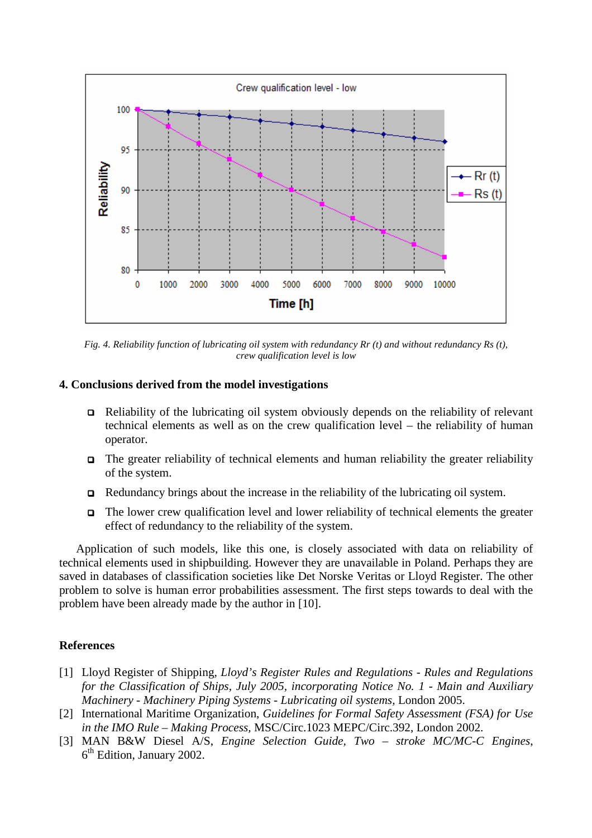

*Fig. 4. Reliability function of lubricating oil system with redundancy Rr (t) and without redundancy Rs (t), crew qualification level is low* 

## **4. Conclusions derived from the model investigations**

- Reliability of the lubricating oil system obviously depends on the reliability of relevant technical elements as well as on the crew qualification level – the reliability of human operator.
- $\Box$  The greater reliability of technical elements and human reliability the greater reliability of the system.
- $\Box$  Redundancy brings about the increase in the reliability of the lubricating oil system.
- The lower crew qualification level and lower reliability of technical elements the greater effect of redundancy to the reliability of the system.

Application of such models, like this one, is closely associated with data on reliability of technical elements used in shipbuilding. However they are unavailable in Poland. Perhaps they are saved in databases of classification societies like Det Norske Veritas or Lloyd Register. The other problem to solve is human error probabilities assessment. The first steps towards to deal with the problem have been already made by the author in [10].

# **References**

- [1] Lloyd Register of Shipping, *Lloyd's Register Rules and Regulations Rules and Regulations for the Classification of Ships, July 2005, incorporating Notice No. 1 - Main and Auxiliary Machinery - Machinery Piping Systems - Lubricating oil systems,* London 2005.
- [2] International Maritime Organization, *Guidelines for Formal Safety Assessment (FSA) for Use in the IMO Rule – Making Process,* MSC/Circ.1023 MEPC/Circ.392, London 2002.
- [3] MAN B&W Diesel A/S, *Engine Selection Guide, Two stroke MC/MC-C Engines*, 6<sup>th</sup> Edition, January 2002.